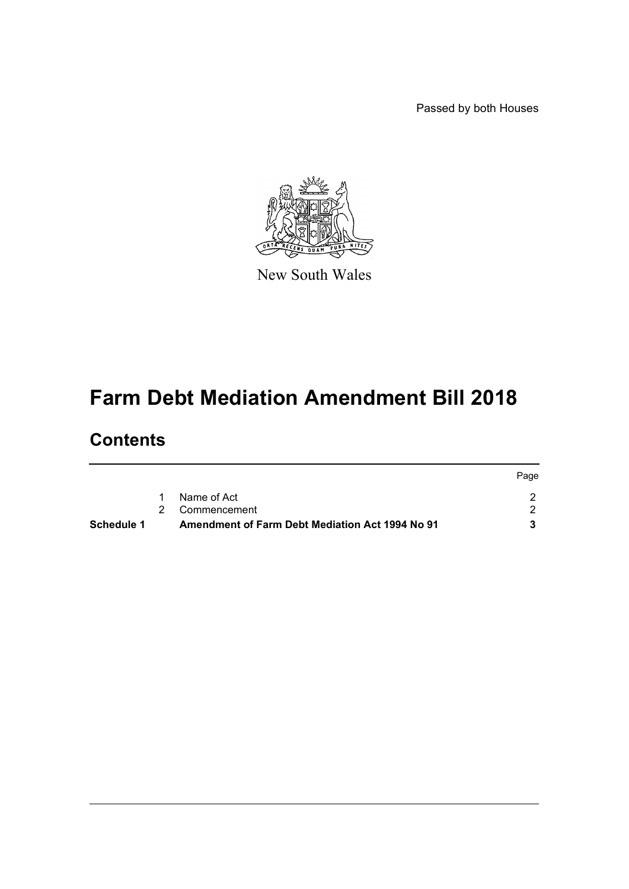Passed by both Houses



New South Wales

# **Farm Debt Mediation Amendment Bill 2018**

# **Contents**

| Schedule 1 | <b>Amendment of Farm Debt Mediation Act 1994 No 91</b> |      |
|------------|--------------------------------------------------------|------|
|            | 2 Commencement                                         |      |
|            | Name of Act                                            |      |
|            |                                                        | Page |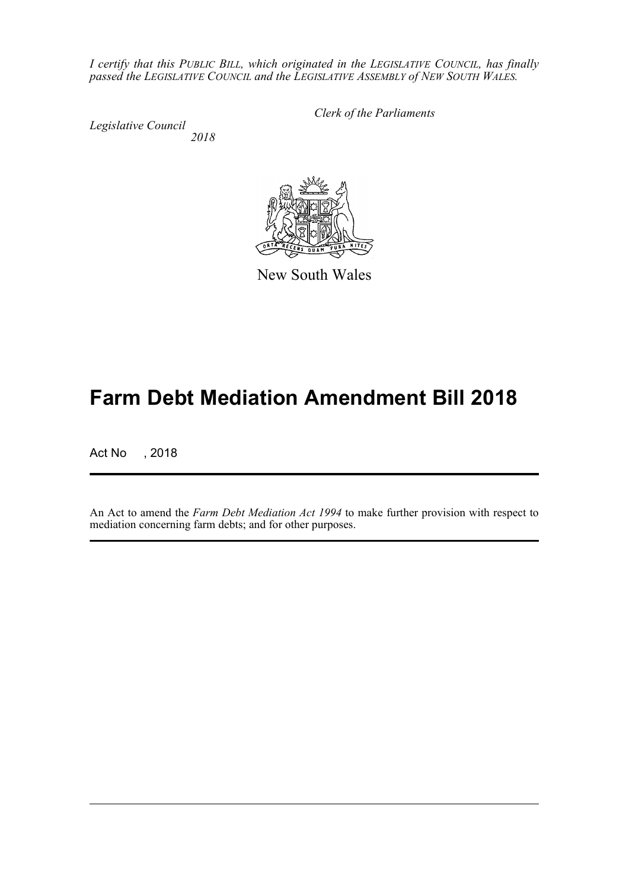*I certify that this PUBLIC BILL, which originated in the LEGISLATIVE COUNCIL, has finally passed the LEGISLATIVE COUNCIL and the LEGISLATIVE ASSEMBLY of NEW SOUTH WALES.*

*Legislative Council 2018* *Clerk of the Parliaments*

New South Wales

# **Farm Debt Mediation Amendment Bill 2018**

Act No , 2018

An Act to amend the *Farm Debt Mediation Act 1994* to make further provision with respect to mediation concerning farm debts; and for other purposes.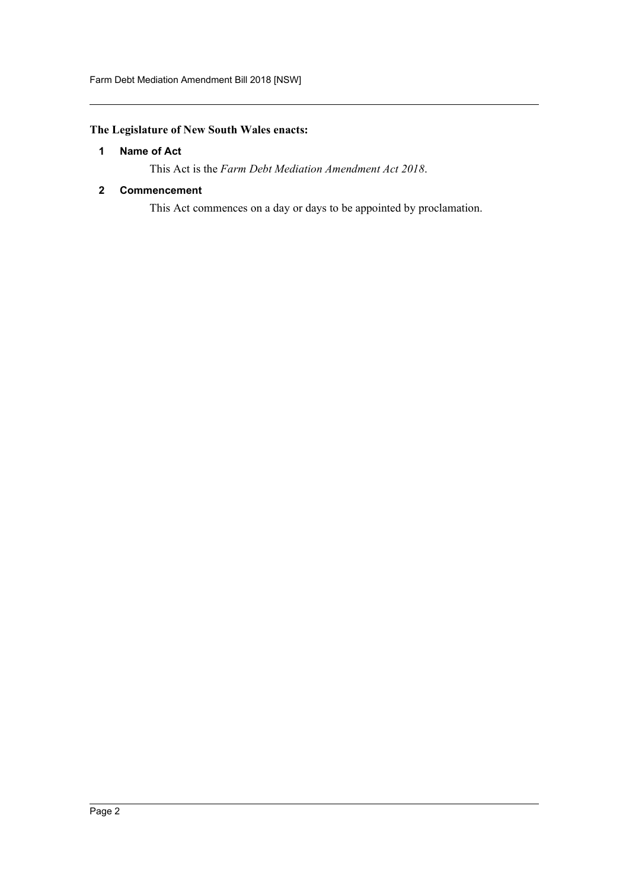# <span id="page-2-0"></span>**The Legislature of New South Wales enacts:**

# **1 Name of Act**

This Act is the *Farm Debt Mediation Amendment Act 2018*.

## <span id="page-2-1"></span>**2 Commencement**

This Act commences on a day or days to be appointed by proclamation.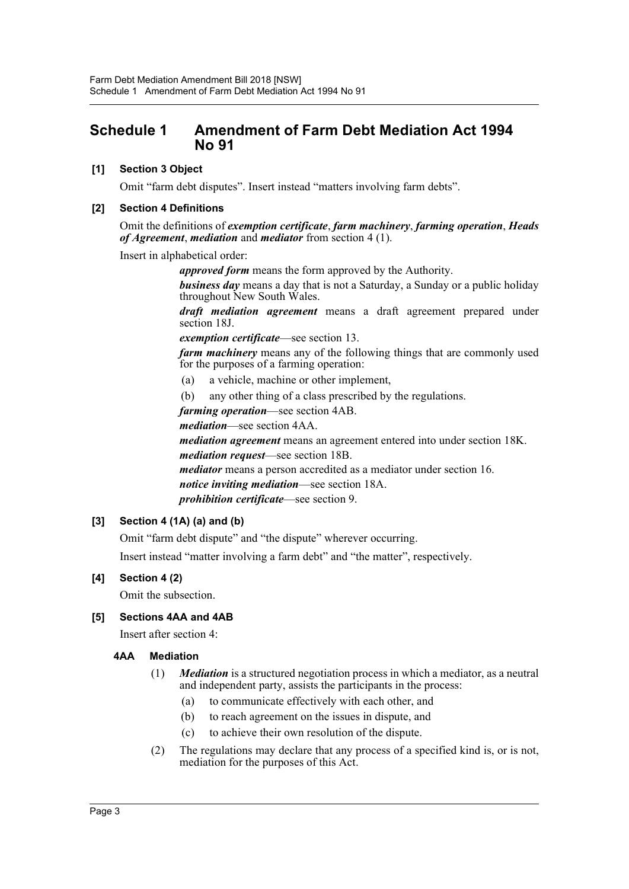# <span id="page-3-0"></span>**Schedule 1 Amendment of Farm Debt Mediation Act 1994 No 91**

# **[1] Section 3 Object**

Omit "farm debt disputes". Insert instead "matters involving farm debts".

## **[2] Section 4 Definitions**

Omit the definitions of *exemption certificate*, *farm machinery*, *farming operation*, *Heads of Agreement*, *mediation* and *mediator* from section 4 (1).

Insert in alphabetical order:

*approved form* means the form approved by the Authority.

*business day* means a day that is not a Saturday, a Sunday or a public holiday throughout New South Wales.

*draft mediation agreement* means a draft agreement prepared under section 18J.

*exemption certificate*—see section 13.

*farm machinery* means any of the following things that are commonly used for the purposes of a farming operation:

- (a) a vehicle, machine or other implement,
- (b) any other thing of a class prescribed by the regulations.

*farming operation*—see section 4AB.

*mediation*—see section 4AA.

*mediation agreement* means an agreement entered into under section 18K. *mediation request*—see section 18B.

*mediator* means a person accredited as a mediator under section 16. *notice inviting mediation*—see section 18A. *prohibition certificate*—see section 9.

# **[3] Section 4 (1A) (a) and (b)**

Omit "farm debt dispute" and "the dispute" wherever occurring.

Insert instead "matter involving a farm debt" and "the matter", respectively.

# **[4] Section 4 (2)**

Omit the subsection.

# **[5] Sections 4AA and 4AB**

Insert after section 4:

#### **4AA Mediation**

- (1) *Mediation* is a structured negotiation process in which a mediator, as a neutral and independent party, assists the participants in the process:
	- (a) to communicate effectively with each other, and
	- (b) to reach agreement on the issues in dispute, and
	- (c) to achieve their own resolution of the dispute.
- (2) The regulations may declare that any process of a specified kind is, or is not, mediation for the purposes of this Act.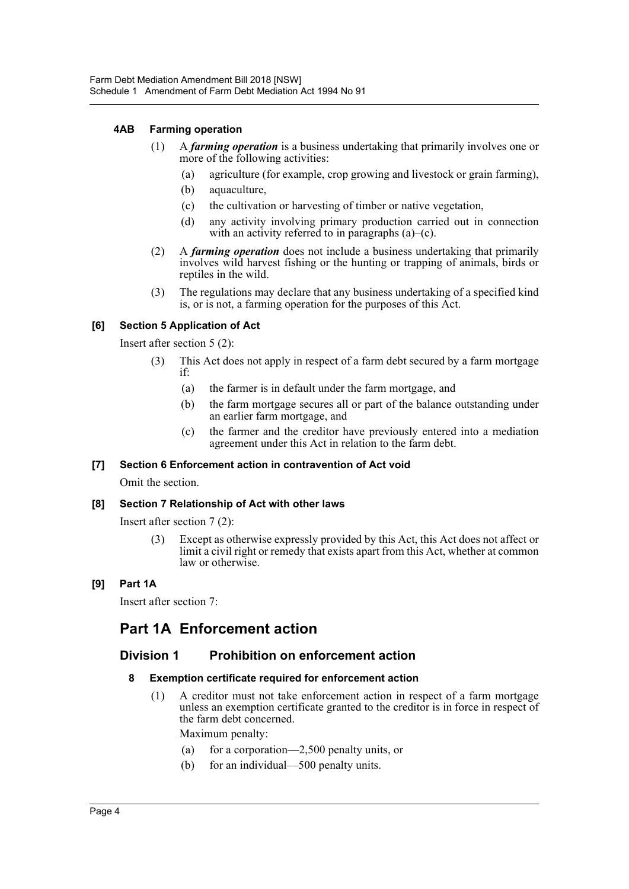## **4AB Farming operation**

- (1) A *farming operation* is a business undertaking that primarily involves one or more of the following activities:
	- (a) agriculture (for example, crop growing and livestock or grain farming),
	- (b) aquaculture,
	- (c) the cultivation or harvesting of timber or native vegetation,
	- (d) any activity involving primary production carried out in connection with an activity referred to in paragraphs (a)–(c).
- (2) A *farming operation* does not include a business undertaking that primarily involves wild harvest fishing or the hunting or trapping of animals, birds or reptiles in the wild.
- (3) The regulations may declare that any business undertaking of a specified kind is, or is not, a farming operation for the purposes of this Act.

# **[6] Section 5 Application of Act**

Insert after section 5 (2):

- (3) This Act does not apply in respect of a farm debt secured by a farm mortgage if:
	- (a) the farmer is in default under the farm mortgage, and
	- (b) the farm mortgage secures all or part of the balance outstanding under an earlier farm mortgage, and
	- (c) the farmer and the creditor have previously entered into a mediation agreement under this Act in relation to the farm debt.

#### **[7] Section 6 Enforcement action in contravention of Act void**

Omit the section.

#### **[8] Section 7 Relationship of Act with other laws**

Insert after section 7 (2):

(3) Except as otherwise expressly provided by this Act, this Act does not affect or limit a civil right or remedy that exists apart from this Act, whether at common law or otherwise.

# **[9] Part 1A**

Insert after section 7:

# **Part 1A Enforcement action**

# **Division 1 Prohibition on enforcement action**

#### **8 Exemption certificate required for enforcement action**

(1) A creditor must not take enforcement action in respect of a farm mortgage unless an exemption certificate granted to the creditor is in force in respect of the farm debt concerned.

Maximum penalty:

- (a) for a corporation—2,500 penalty units, or
- (b) for an individual—500 penalty units.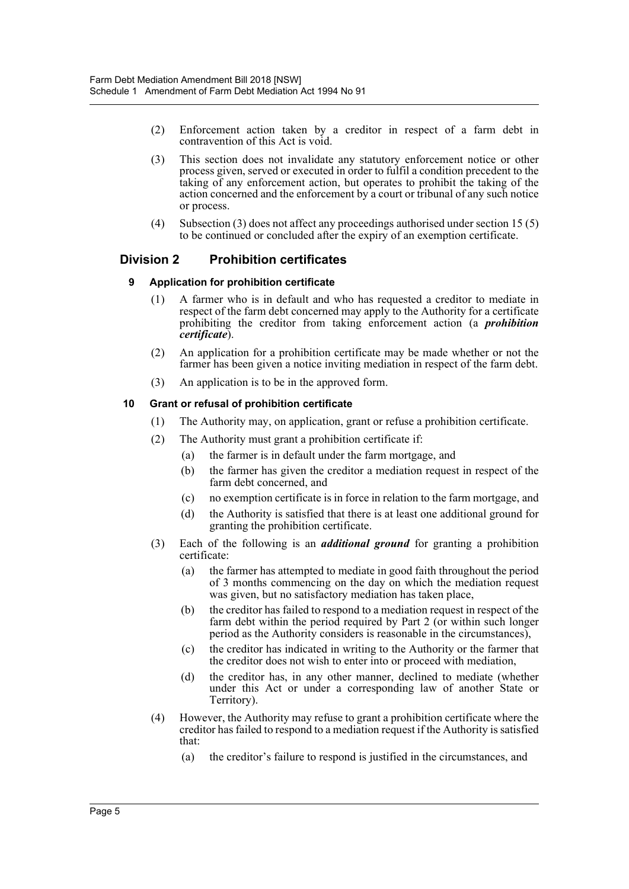- (2) Enforcement action taken by a creditor in respect of a farm debt in contravention of this Act is void.
- (3) This section does not invalidate any statutory enforcement notice or other process given, served or executed in order to fulfil a condition precedent to the taking of any enforcement action, but operates to prohibit the taking of the action concerned and the enforcement by a court or tribunal of any such notice or process.
- (4) Subsection (3) does not affect any proceedings authorised under section 15 (5) to be continued or concluded after the expiry of an exemption certificate.

# **Division 2 Prohibition certificates**

## **9 Application for prohibition certificate**

- (1) A farmer who is in default and who has requested a creditor to mediate in respect of the farm debt concerned may apply to the Authority for a certificate prohibiting the creditor from taking enforcement action (a *prohibition certificate*).
- (2) An application for a prohibition certificate may be made whether or not the farmer has been given a notice inviting mediation in respect of the farm debt.
- (3) An application is to be in the approved form.

## **10 Grant or refusal of prohibition certificate**

- (1) The Authority may, on application, grant or refuse a prohibition certificate.
- (2) The Authority must grant a prohibition certificate if:
	- (a) the farmer is in default under the farm mortgage, and
	- (b) the farmer has given the creditor a mediation request in respect of the farm debt concerned, and
	- (c) no exemption certificate is in force in relation to the farm mortgage, and
	- (d) the Authority is satisfied that there is at least one additional ground for granting the prohibition certificate.
- (3) Each of the following is an *additional ground* for granting a prohibition certificate:
	- (a) the farmer has attempted to mediate in good faith throughout the period of 3 months commencing on the day on which the mediation request was given, but no satisfactory mediation has taken place,
	- (b) the creditor has failed to respond to a mediation request in respect of the farm debt within the period required by Part 2 (or within such longer period as the Authority considers is reasonable in the circumstances),
	- (c) the creditor has indicated in writing to the Authority or the farmer that the creditor does not wish to enter into or proceed with mediation,
	- (d) the creditor has, in any other manner, declined to mediate (whether under this Act or under a corresponding law of another State or Territory).
- (4) However, the Authority may refuse to grant a prohibition certificate where the creditor has failed to respond to a mediation request if the Authority is satisfied that:
	- (a) the creditor's failure to respond is justified in the circumstances, and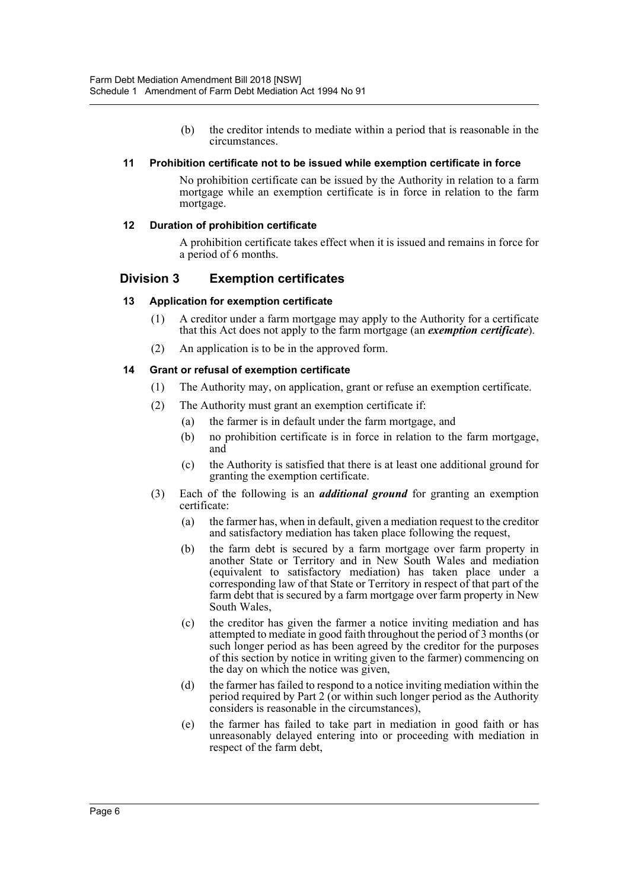(b) the creditor intends to mediate within a period that is reasonable in the circumstances.

#### **11 Prohibition certificate not to be issued while exemption certificate in force**

No prohibition certificate can be issued by the Authority in relation to a farm mortgage while an exemption certificate is in force in relation to the farm mortgage.

#### **12 Duration of prohibition certificate**

A prohibition certificate takes effect when it is issued and remains in force for a period of 6 months.

## **Division 3 Exemption certificates**

#### **13 Application for exemption certificate**

- (1) A creditor under a farm mortgage may apply to the Authority for a certificate that this Act does not apply to the farm mortgage (an *exemption certificate*).
- (2) An application is to be in the approved form.

#### **14 Grant or refusal of exemption certificate**

- (1) The Authority may, on application, grant or refuse an exemption certificate.
- (2) The Authority must grant an exemption certificate if:
	- (a) the farmer is in default under the farm mortgage, and
	- (b) no prohibition certificate is in force in relation to the farm mortgage, and
	- (c) the Authority is satisfied that there is at least one additional ground for granting the exemption certificate.
- (3) Each of the following is an *additional ground* for granting an exemption certificate:
	- (a) the farmer has, when in default, given a mediation request to the creditor and satisfactory mediation has taken place following the request,
	- (b) the farm debt is secured by a farm mortgage over farm property in another State or Territory and in New South Wales and mediation (equivalent to satisfactory mediation) has taken place under a corresponding law of that State or Territory in respect of that part of the farm debt that is secured by a farm mortgage over farm property in New South Wales,
	- (c) the creditor has given the farmer a notice inviting mediation and has attempted to mediate in good faith throughout the period of 3 months (or such longer period as has been agreed by the creditor for the purposes of this section by notice in writing given to the farmer) commencing on the day on which the notice was given,
	- (d) the farmer has failed to respond to a notice inviting mediation within the period required by Part 2 (or within such longer period as the Authority considers is reasonable in the circumstances),
	- (e) the farmer has failed to take part in mediation in good faith or has unreasonably delayed entering into or proceeding with mediation in respect of the farm debt,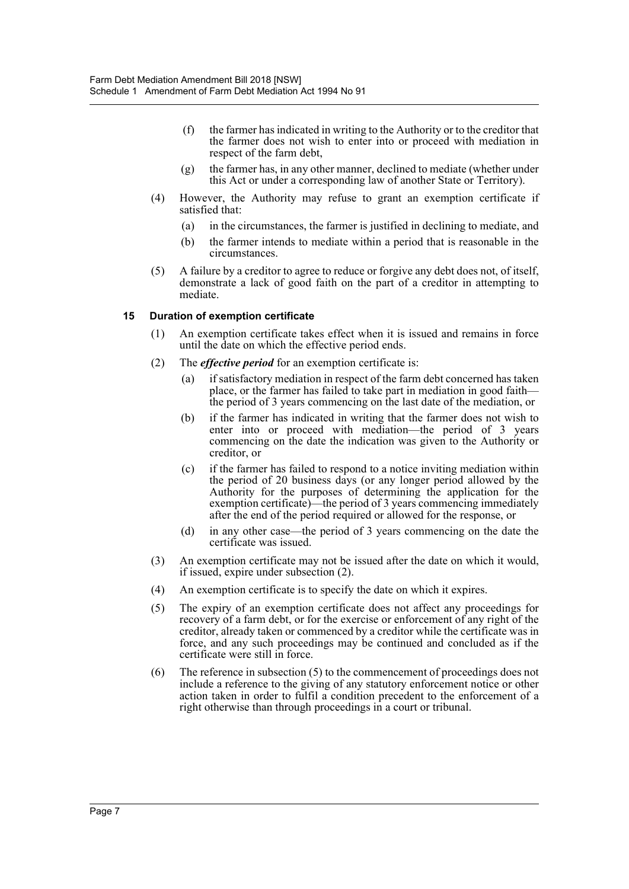- (f) the farmer has indicated in writing to the Authority or to the creditor that the farmer does not wish to enter into or proceed with mediation in respect of the farm debt,
- (g) the farmer has, in any other manner, declined to mediate (whether under this Act or under a corresponding law of another State or Territory).
- (4) However, the Authority may refuse to grant an exemption certificate if satisfied that:
	- (a) in the circumstances, the farmer is justified in declining to mediate, and
	- (b) the farmer intends to mediate within a period that is reasonable in the circumstances.
- (5) A failure by a creditor to agree to reduce or forgive any debt does not, of itself, demonstrate a lack of good faith on the part of a creditor in attempting to mediate.

#### **15 Duration of exemption certificate**

- (1) An exemption certificate takes effect when it is issued and remains in force until the date on which the effective period ends.
- (2) The *effective period* for an exemption certificate is:
	- (a) if satisfactory mediation in respect of the farm debt concerned has taken place, or the farmer has failed to take part in mediation in good faith the period of 3 years commencing on the last date of the mediation, or
	- (b) if the farmer has indicated in writing that the farmer does not wish to enter into or proceed with mediation—the period of 3 years commencing on the date the indication was given to the Authority or creditor, or
	- (c) if the farmer has failed to respond to a notice inviting mediation within the period of 20 business days (or any longer period allowed by the Authority for the purposes of determining the application for the exemption certificate)—the period of 3 years commencing immediately after the end of the period required or allowed for the response, or
	- (d) in any other case—the period of 3 years commencing on the date the certificate was issued.
- (3) An exemption certificate may not be issued after the date on which it would, if issued, expire under subsection (2).
- (4) An exemption certificate is to specify the date on which it expires.
- (5) The expiry of an exemption certificate does not affect any proceedings for recovery of a farm debt, or for the exercise or enforcement of any right of the creditor, already taken or commenced by a creditor while the certificate was in force, and any such proceedings may be continued and concluded as if the certificate were still in force.
- (6) The reference in subsection (5) to the commencement of proceedings does not include a reference to the giving of any statutory enforcement notice or other action taken in order to fulfil a condition precedent to the enforcement of a right otherwise than through proceedings in a court or tribunal.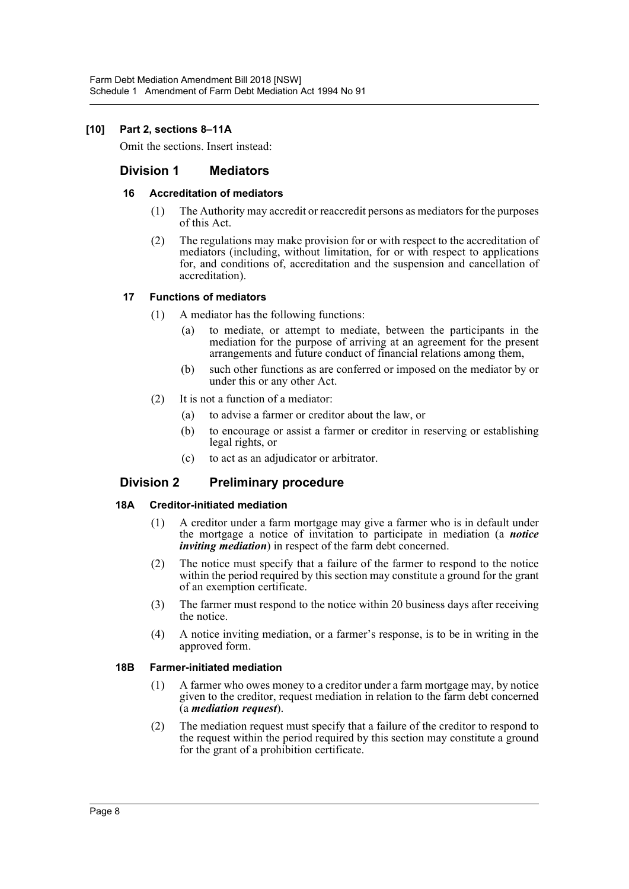## **[10] Part 2, sections 8–11A**

Omit the sections. Insert instead:

# **Division 1 Mediators**

#### **16 Accreditation of mediators**

- (1) The Authority may accredit or reaccredit persons as mediators for the purposes of this Act.
- (2) The regulations may make provision for or with respect to the accreditation of mediators (including, without limitation, for or with respect to applications for, and conditions of, accreditation and the suspension and cancellation of accreditation).

#### **17 Functions of mediators**

- (1) A mediator has the following functions:
	- (a) to mediate, or attempt to mediate, between the participants in the mediation for the purpose of arriving at an agreement for the present arrangements and future conduct of financial relations among them,
	- (b) such other functions as are conferred or imposed on the mediator by or under this or any other Act.
- (2) It is not a function of a mediator:
	- (a) to advise a farmer or creditor about the law, or
	- (b) to encourage or assist a farmer or creditor in reserving or establishing legal rights, or
	- (c) to act as an adjudicator or arbitrator.

# **Division 2 Preliminary procedure**

#### **18A Creditor-initiated mediation**

- (1) A creditor under a farm mortgage may give a farmer who is in default under the mortgage a notice of invitation to participate in mediation (a *notice inviting mediation*) in respect of the farm debt concerned.
- (2) The notice must specify that a failure of the farmer to respond to the notice within the period required by this section may constitute a ground for the grant of an exemption certificate.
- (3) The farmer must respond to the notice within 20 business days after receiving the notice.
- (4) A notice inviting mediation, or a farmer's response, is to be in writing in the approved form.

#### **18B Farmer-initiated mediation**

- (1) A farmer who owes money to a creditor under a farm mortgage may, by notice given to the creditor, request mediation in relation to the farm debt concerned (a *mediation request*).
- (2) The mediation request must specify that a failure of the creditor to respond to the request within the period required by this section may constitute a ground for the grant of a prohibition certificate.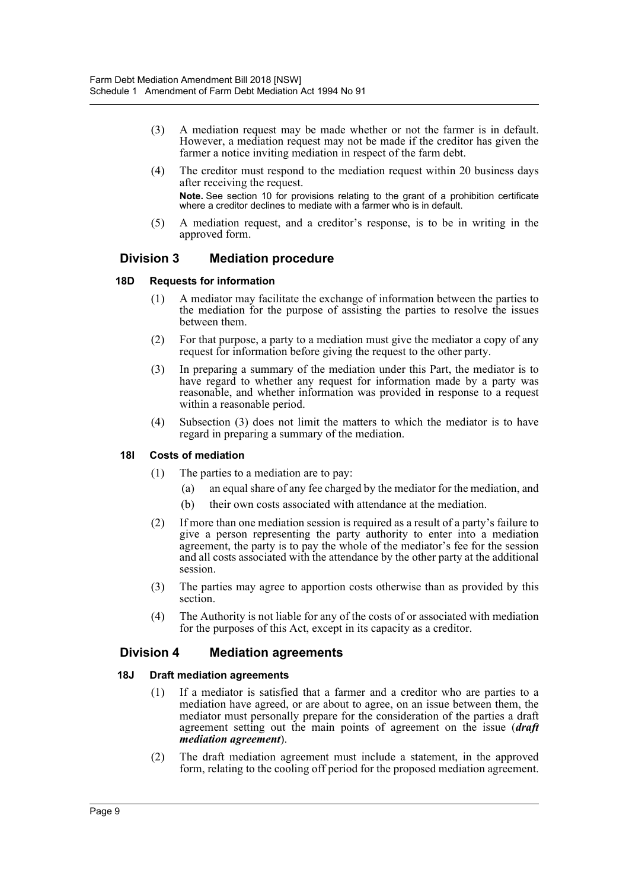- (3) A mediation request may be made whether or not the farmer is in default. However, a mediation request may not be made if the creditor has given the farmer a notice inviting mediation in respect of the farm debt.
- (4) The creditor must respond to the mediation request within 20 business days after receiving the request. **Note.** See section 10 for provisions relating to the grant of a prohibition certificate where a creditor declines to mediate with a farmer who is in default.
- (5) A mediation request, and a creditor's response, is to be in writing in the approved form.

# **Division 3 Mediation procedure**

## **18D Requests for information**

- (1) A mediator may facilitate the exchange of information between the parties to the mediation for the purpose of assisting the parties to resolve the issues between them.
- (2) For that purpose, a party to a mediation must give the mediator a copy of any request for information before giving the request to the other party.
- (3) In preparing a summary of the mediation under this Part, the mediator is to have regard to whether any request for information made by a party was reasonable, and whether information was provided in response to a request within a reasonable period.
- (4) Subsection (3) does not limit the matters to which the mediator is to have regard in preparing a summary of the mediation.

#### **18I Costs of mediation**

- (1) The parties to a mediation are to pay:
	- (a) an equal share of any fee charged by the mediator for the mediation, and
	- (b) their own costs associated with attendance at the mediation.
- (2) If more than one mediation session is required as a result of a party's failure to give a person representing the party authority to enter into a mediation agreement, the party is to pay the whole of the mediator's fee for the session and all costs associated with the attendance by the other party at the additional session.
- (3) The parties may agree to apportion costs otherwise than as provided by this section.
- (4) The Authority is not liable for any of the costs of or associated with mediation for the purposes of this Act, except in its capacity as a creditor.

# **Division 4 Mediation agreements**

#### **18J Draft mediation agreements**

- (1) If a mediator is satisfied that a farmer and a creditor who are parties to a mediation have agreed, or are about to agree, on an issue between them, the mediator must personally prepare for the consideration of the parties a draft agreement setting out the main points of agreement on the issue (*draft mediation agreement*).
- (2) The draft mediation agreement must include a statement, in the approved form, relating to the cooling off period for the proposed mediation agreement.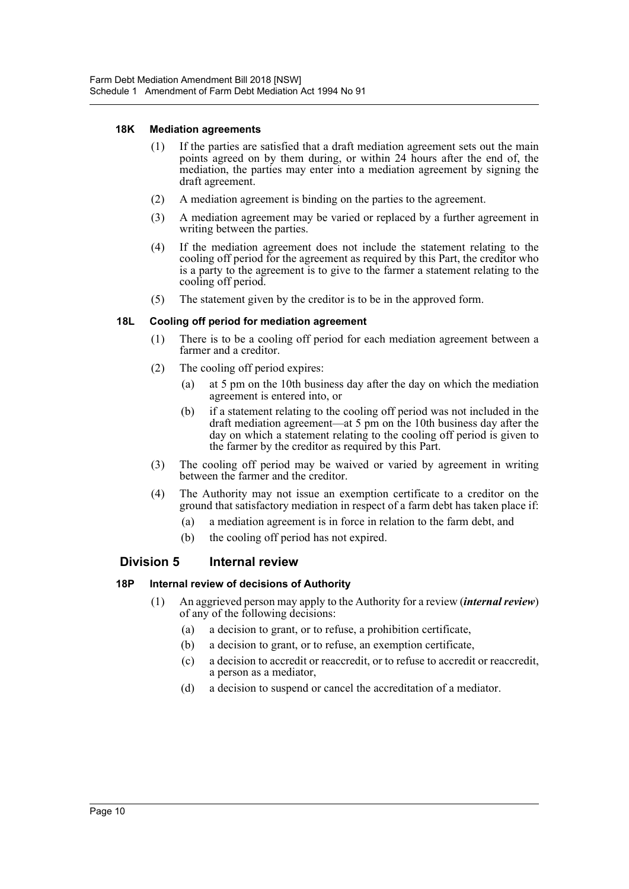#### **18K Mediation agreements**

- (1) If the parties are satisfied that a draft mediation agreement sets out the main points agreed on by them during, or within 24 hours after the end of, the mediation, the parties may enter into a mediation agreement by signing the draft agreement.
- (2) A mediation agreement is binding on the parties to the agreement.
- (3) A mediation agreement may be varied or replaced by a further agreement in writing between the parties.
- (4) If the mediation agreement does not include the statement relating to the cooling off period for the agreement as required by this Part, the creditor who is a party to the agreement is to give to the farmer a statement relating to the cooling off period.
- (5) The statement given by the creditor is to be in the approved form.

# **18L Cooling off period for mediation agreement**

- (1) There is to be a cooling off period for each mediation agreement between a farmer and a creditor.
- (2) The cooling off period expires:
	- (a) at 5 pm on the 10th business day after the day on which the mediation agreement is entered into, or
	- (b) if a statement relating to the cooling off period was not included in the draft mediation agreement—at 5 pm on the 10th business day after the day on which a statement relating to the cooling off period is given to the farmer by the creditor as required by this Part.
- (3) The cooling off period may be waived or varied by agreement in writing between the farmer and the creditor.
- (4) The Authority may not issue an exemption certificate to a creditor on the ground that satisfactory mediation in respect of a farm debt has taken place if:
	- (a) a mediation agreement is in force in relation to the farm debt, and
	- (b) the cooling off period has not expired.

# **Division 5 Internal review**

#### **18P Internal review of decisions of Authority**

- (1) An aggrieved person may apply to the Authority for a review (*internal review*) of any of the following decisions:
	- (a) a decision to grant, or to refuse, a prohibition certificate,
	- (b) a decision to grant, or to refuse, an exemption certificate,
	- (c) a decision to accredit or reaccredit, or to refuse to accredit or reaccredit, a person as a mediator,
	- (d) a decision to suspend or cancel the accreditation of a mediator.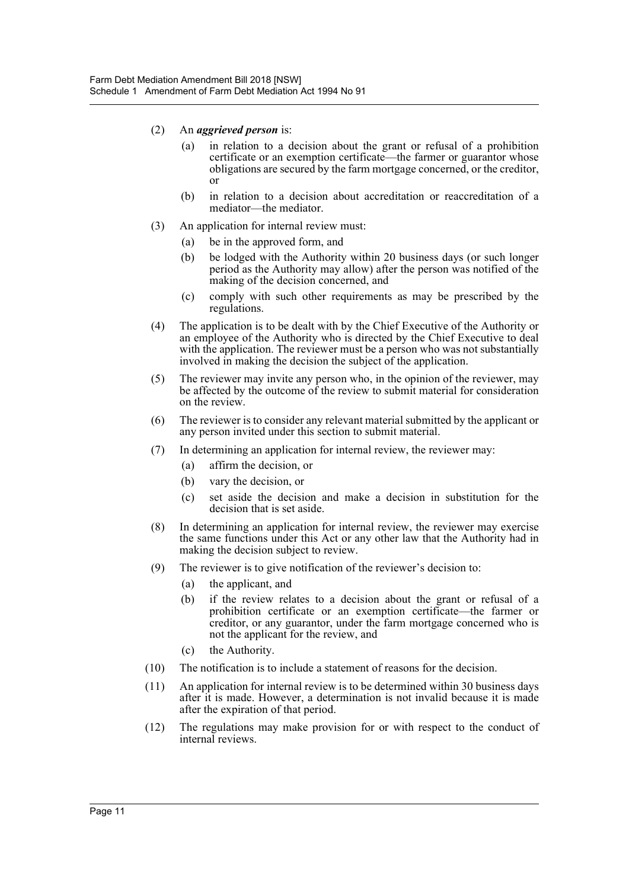- (2) An *aggrieved person* is:
	- (a) in relation to a decision about the grant or refusal of a prohibition certificate or an exemption certificate—the farmer or guarantor whose obligations are secured by the farm mortgage concerned, or the creditor, or
	- (b) in relation to a decision about accreditation or reaccreditation of a mediator—the mediator.
- (3) An application for internal review must:
	- (a) be in the approved form, and
	- (b) be lodged with the Authority within 20 business days (or such longer period as the Authority may allow) after the person was notified of the making of the decision concerned, and
	- (c) comply with such other requirements as may be prescribed by the regulations.
- (4) The application is to be dealt with by the Chief Executive of the Authority or an employee of the Authority who is directed by the Chief Executive to deal with the application. The reviewer must be a person who was not substantially involved in making the decision the subject of the application.
- (5) The reviewer may invite any person who, in the opinion of the reviewer, may be affected by the outcome of the review to submit material for consideration on the review.
- (6) The reviewer is to consider any relevant material submitted by the applicant or any person invited under this section to submit material.
- (7) In determining an application for internal review, the reviewer may:
	- (a) affirm the decision, or
	- (b) vary the decision, or
	- (c) set aside the decision and make a decision in substitution for the decision that is set aside.
- (8) In determining an application for internal review, the reviewer may exercise the same functions under this Act or any other law that the Authority had in making the decision subject to review.
- (9) The reviewer is to give notification of the reviewer's decision to:
	- (a) the applicant, and
	- (b) if the review relates to a decision about the grant or refusal of a prohibition certificate or an exemption certificate—the farmer or creditor, or any guarantor, under the farm mortgage concerned who is not the applicant for the review, and
	- (c) the Authority.
- (10) The notification is to include a statement of reasons for the decision.
- (11) An application for internal review is to be determined within 30 business days after it is made. However, a determination is not invalid because it is made after the expiration of that period.
- (12) The regulations may make provision for or with respect to the conduct of internal reviews.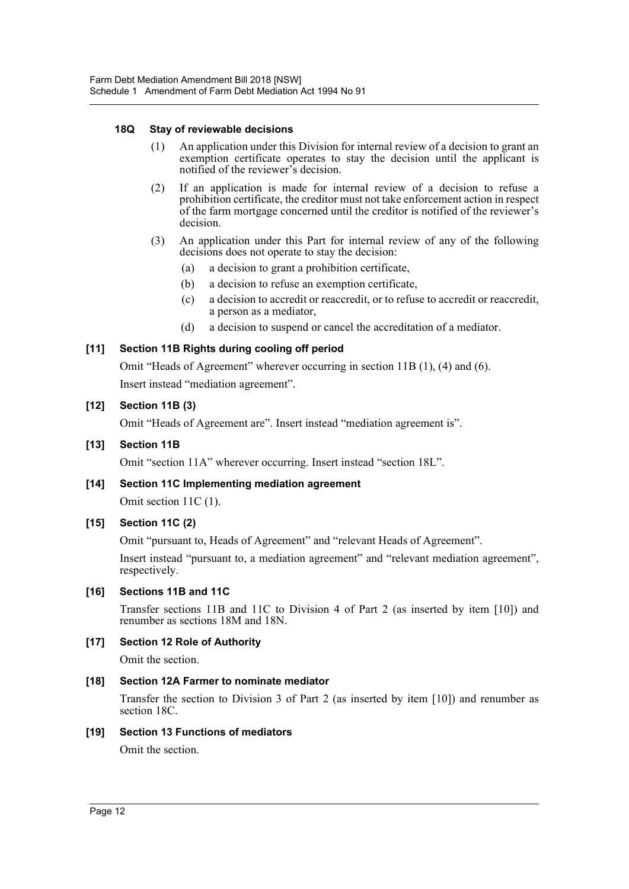#### **18Q Stay of reviewable decisions**

- (1) An application under this Division for internal review of a decision to grant an exemption certificate operates to stay the decision until the applicant is notified of the reviewer's decision.
- (2) If an application is made for internal review of a decision to refuse a prohibition certificate, the creditor must not take enforcement action in respect of the farm mortgage concerned until the creditor is notified of the reviewer's decision.
- (3) An application under this Part for internal review of any of the following decisions does not operate to stay the decision:
	- (a) a decision to grant a prohibition certificate,
	- (b) a decision to refuse an exemption certificate,
	- (c) a decision to accredit or reaccredit, or to refuse to accredit or reaccredit, a person as a mediator,
	- (d) a decision to suspend or cancel the accreditation of a mediator.

## **[11] Section 11B Rights during cooling off period**

Omit "Heads of Agreement" wherever occurring in section 11B (1), (4) and (6).

Insert instead "mediation agreement".

#### **[12] Section 11B (3)**

Omit "Heads of Agreement are". Insert instead "mediation agreement is".

#### **[13] Section 11B**

Omit "section 11A" wherever occurring. Insert instead "section 18L".

#### **[14] Section 11C Implementing mediation agreement**

Omit section 11C (1).

#### **[15] Section 11C (2)**

Omit "pursuant to, Heads of Agreement" and "relevant Heads of Agreement".

Insert instead "pursuant to, a mediation agreement" and "relevant mediation agreement", respectively.

#### **[16] Sections 11B and 11C**

Transfer sections 11B and 11C to Division 4 of Part 2 (as inserted by item [10]) and renumber as sections 18M and 18N.

#### **[17] Section 12 Role of Authority**

Omit the section.

#### **[18] Section 12A Farmer to nominate mediator**

Transfer the section to Division 3 of Part 2 (as inserted by item [10]) and renumber as section 18C.

#### **[19] Section 13 Functions of mediators**

Omit the section.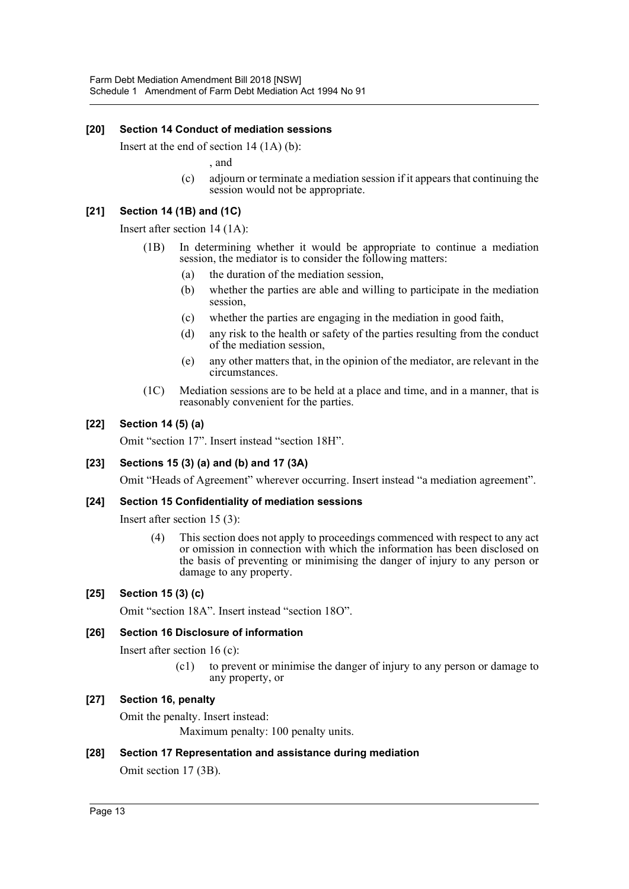## **[20] Section 14 Conduct of mediation sessions**

Insert at the end of section 14 (1A) (b):

, and

(c) adjourn or terminate a mediation session if it appears that continuing the session would not be appropriate.

#### **[21] Section 14 (1B) and (1C)**

Insert after section 14 (1A):

- (1B) In determining whether it would be appropriate to continue a mediation session, the mediator is to consider the following matters:
	- (a) the duration of the mediation session,
	- (b) whether the parties are able and willing to participate in the mediation session,
	- (c) whether the parties are engaging in the mediation in good faith,
	- (d) any risk to the health or safety of the parties resulting from the conduct of the mediation session,
	- (e) any other matters that, in the opinion of the mediator, are relevant in the circumstances.
- (1C) Mediation sessions are to be held at a place and time, and in a manner, that is reasonably convenient for the parties.

## **[22] Section 14 (5) (a)**

Omit "section 17". Insert instead "section 18H".

#### **[23] Sections 15 (3) (a) and (b) and 17 (3A)**

Omit "Heads of Agreement" wherever occurring. Insert instead "a mediation agreement".

## **[24] Section 15 Confidentiality of mediation sessions**

Insert after section 15 (3):

(4) This section does not apply to proceedings commenced with respect to any act or omission in connection with which the information has been disclosed on the basis of preventing or minimising the danger of injury to any person or damage to any property.

## **[25] Section 15 (3) (c)**

Omit "section 18A". Insert instead "section 18O".

#### **[26] Section 16 Disclosure of information**

Insert after section 16 (c):

(c1) to prevent or minimise the danger of injury to any person or damage to any property, or

## **[27] Section 16, penalty**

Omit the penalty. Insert instead:

Maximum penalty: 100 penalty units.

#### **[28] Section 17 Representation and assistance during mediation**

Omit section 17 (3B).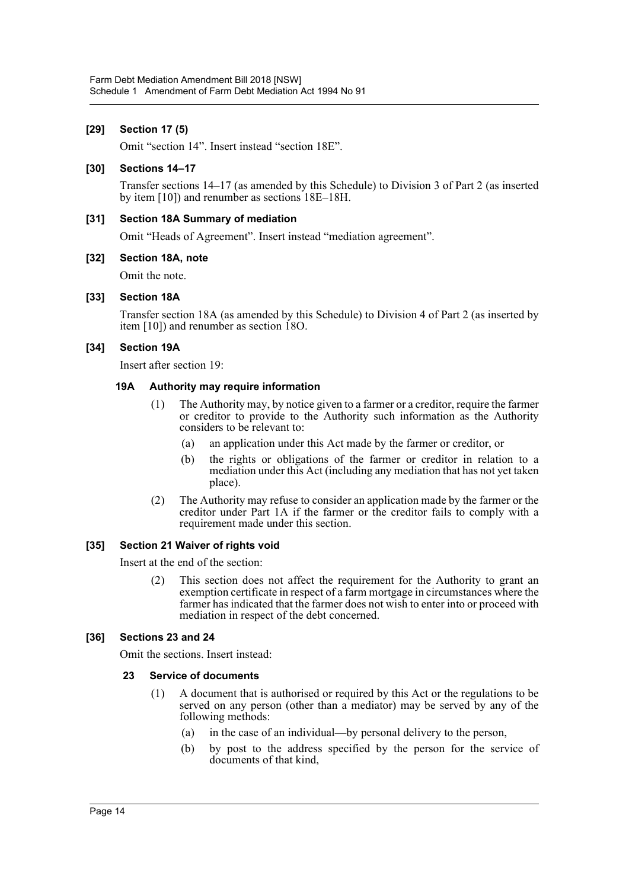## **[29] Section 17 (5)**

Omit "section 14". Insert instead "section 18E".

#### **[30] Sections 14–17**

Transfer sections 14–17 (as amended by this Schedule) to Division 3 of Part 2 (as inserted by item [10]) and renumber as sections 18E–18H.

#### **[31] Section 18A Summary of mediation**

Omit "Heads of Agreement". Insert instead "mediation agreement".

#### **[32] Section 18A, note**

Omit the note.

#### **[33] Section 18A**

Transfer section 18A (as amended by this Schedule) to Division 4 of Part 2 (as inserted by item [10]) and renumber as section 18O.

#### **[34] Section 19A**

Insert after section 19:

#### **19A Authority may require information**

- (1) The Authority may, by notice given to a farmer or a creditor, require the farmer or creditor to provide to the Authority such information as the Authority considers to be relevant to:
	- (a) an application under this Act made by the farmer or creditor, or
	- (b) the rights or obligations of the farmer or creditor in relation to a mediation under this Act (including any mediation that has not yet taken place).
- (2) The Authority may refuse to consider an application made by the farmer or the creditor under Part 1A if the farmer or the creditor fails to comply with a requirement made under this section.

#### **[35] Section 21 Waiver of rights void**

Insert at the end of the section:

(2) This section does not affect the requirement for the Authority to grant an exemption certificate in respect of a farm mortgage in circumstances where the farmer has indicated that the farmer does not wish to enter into or proceed with mediation in respect of the debt concerned.

#### **[36] Sections 23 and 24**

Omit the sections. Insert instead:

#### **23 Service of documents**

- (1) A document that is authorised or required by this Act or the regulations to be served on any person (other than a mediator) may be served by any of the following methods:
	- (a) in the case of an individual—by personal delivery to the person,
	- (b) by post to the address specified by the person for the service of documents of that kind,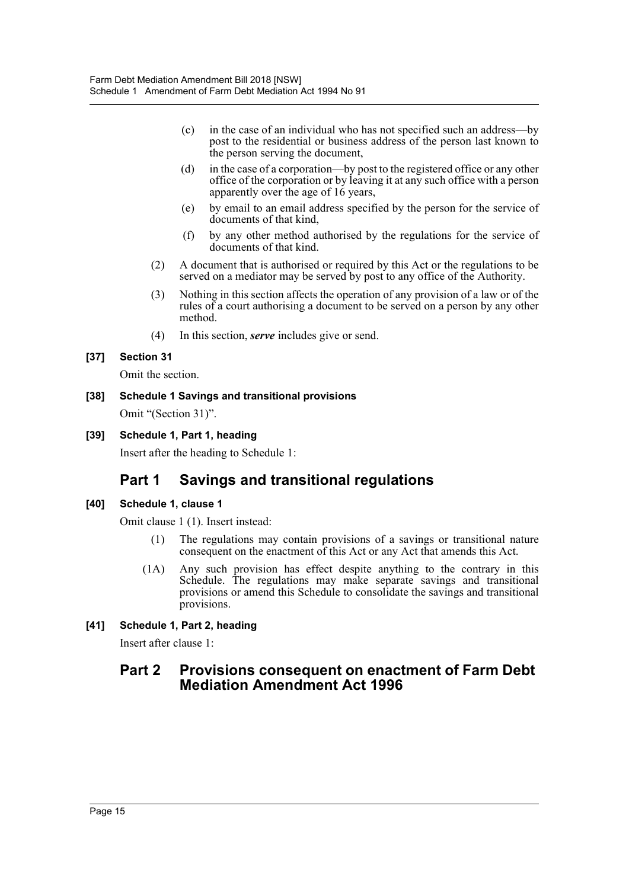- (c) in the case of an individual who has not specified such an address—by post to the residential or business address of the person last known to the person serving the document,
- (d) in the case of a corporation—by post to the registered office or any other office of the corporation or by leaving it at any such office with a person apparently over the age of 16 years,
- (e) by email to an email address specified by the person for the service of documents of that kind,
- (f) by any other method authorised by the regulations for the service of documents of that kind.
- (2) A document that is authorised or required by this Act or the regulations to be served on a mediator may be served by post to any office of the Authority.
- (3) Nothing in this section affects the operation of any provision of a law or of the rules of a court authorising a document to be served on a person by any other method.
- (4) In this section, *serve* includes give or send.

# **[37] Section 31**

Omit the section.

# **[38] Schedule 1 Savings and transitional provisions** Omit "(Section 31)".

# **[39] Schedule 1, Part 1, heading**

Insert after the heading to Schedule 1:

# **Part 1 Savings and transitional regulations**

# **[40] Schedule 1, clause 1**

Omit clause 1 (1). Insert instead:

- (1) The regulations may contain provisions of a savings or transitional nature consequent on the enactment of this Act or any Act that amends this Act.
- (1A) Any such provision has effect despite anything to the contrary in this Schedule. The regulations may make separate savings and transitional provisions or amend this Schedule to consolidate the savings and transitional provisions.

# **[41] Schedule 1, Part 2, heading**

Insert after clause 1:

# **Part 2 Provisions consequent on enactment of Farm Debt Mediation Amendment Act 1996**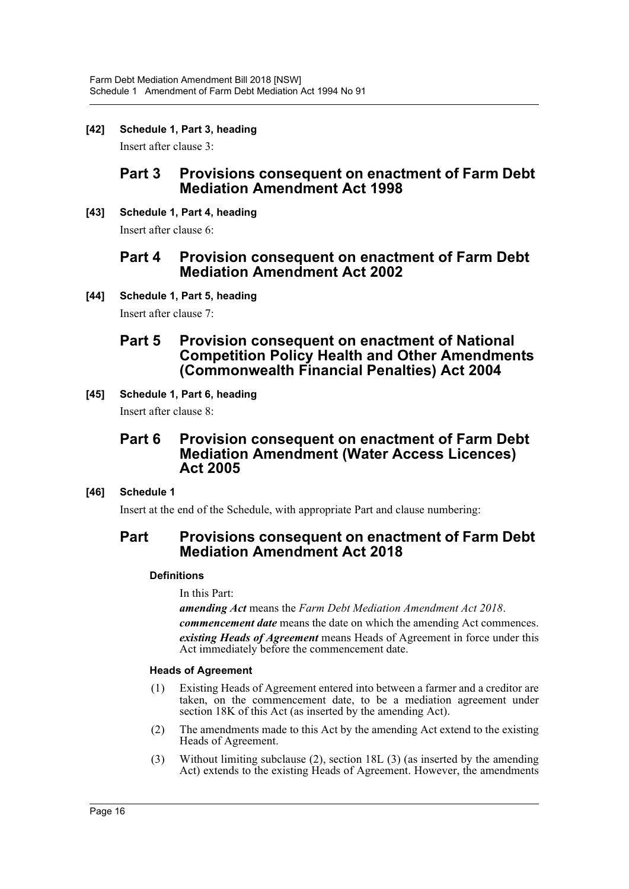**[42] Schedule 1, Part 3, heading**

Insert after clause 3:

# **Part 3 Provisions consequent on enactment of Farm Debt Mediation Amendment Act 1998**

**[43] Schedule 1, Part 4, heading**

Insert after clause 6:

# **Part 4 Provision consequent on enactment of Farm Debt Mediation Amendment Act 2002**

**[44] Schedule 1, Part 5, heading**

Insert after clause 7:

# **Part 5 Provision consequent on enactment of National Competition Policy Health and Other Amendments (Commonwealth Financial Penalties) Act 2004**

**[45] Schedule 1, Part 6, heading**

Insert after clause 8:

# **Part 6 Provision consequent on enactment of Farm Debt Mediation Amendment (Water Access Licences) Act 2005**

# **[46] Schedule 1**

Insert at the end of the Schedule, with appropriate Part and clause numbering:

# **Part Provisions consequent on enactment of Farm Debt Mediation Amendment Act 2018**

# **Definitions**

In this Part:

*amending Act* means the *Farm Debt Mediation Amendment Act 2018*. *commencement date* means the date on which the amending Act commences. *existing Heads of Agreement* means Heads of Agreement in force under this Act immediately before the commencement date.

# **Heads of Agreement**

- (1) Existing Heads of Agreement entered into between a farmer and a creditor are taken, on the commencement date, to be a mediation agreement under section 18K of this Act (as inserted by the amending Act).
- (2) The amendments made to this Act by the amending Act extend to the existing Heads of Agreement.
- (3) Without limiting subclause (2), section 18L (3) (as inserted by the amending Act) extends to the existing Heads of Agreement. However, the amendments